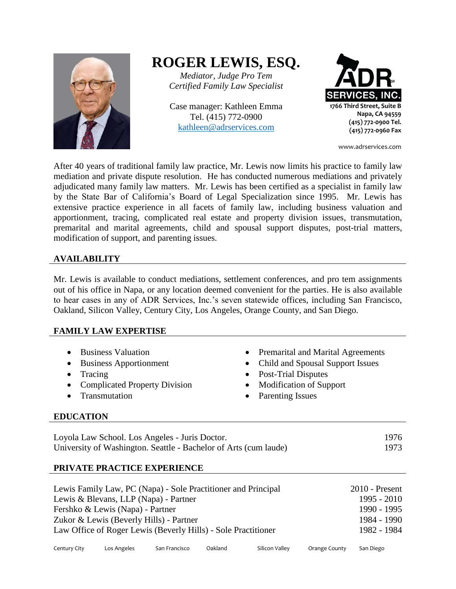

# **ROGER LEWIS, ESQ.**

*Mediator, Judge Pro Tem Certified Family Law Specialist*

Case manager: Kathleen Emma Tel. (415) 772-0900 [kathleen@adrservices.com](mailto:kathleen@adrservices.com)



www.adrservices.com

After 40 years of traditional family law practice, Mr. Lewis now limits his practice to family law mediation and private dispute resolution. He has conducted numerous mediations and privately adjudicated many family law matters. Mr. Lewis has been certified as a specialist in family law by the State Bar of California's Board of Legal Specialization since 1995. Mr. Lewis has extensive practice experience in all facets of family law, including business valuation and apportionment, tracing, complicated real estate and property division issues, transmutation, premarital and marital agreements, child and spousal support disputes, post-trial matters, modification of support, and parenting issues.

# **AVAILABILITY**

Mr. Lewis is available to conduct mediations, settlement conferences, and pro tem assignments out of his office in Napa, or any location deemed convenient for the parties. He is also available to hear cases in any of ADR Services, Inc.'s seven statewide offices, including San Francisco, Oakland, Silicon Valley, Century City, Los Angeles, Orange County, and San Diego.

## **FAMILY LAW EXPERTISE**

- 
- 
- 
- Complicated Property Division Modification of Support
- 
- Business Valuation Premarital and Marital Agreements
- Business Apportionment Child and Spousal Support Issues
- Tracing Post-Trial Disputes
	-
- Transmutation Parenting Issues

## **EDUCATION**

| Loyola Law School. Los Angeles - Juris Doctor.                   | 1976 |
|------------------------------------------------------------------|------|
| University of Washington. Seattle - Bachelor of Arts (cum laude) | 1973 |

# **PRIVATE PRACTICE EXPERIENCE**

| Lewis Family Law, PC (Napa) - Sole Practitioner and Principal | $2010$ - Present |
|---------------------------------------------------------------|------------------|
| Lewis & Blevans, LLP (Napa) - Partner                         | $1995 - 2010$    |
| Fershko & Lewis (Napa) - Partner                              | 1990 - 1995      |
| Zukor & Lewis (Beverly Hills) - Partner                       | 1984 - 1990      |
| Law Office of Roger Lewis (Beverly Hills) - Sole Practitioner | 1982 - 1984      |